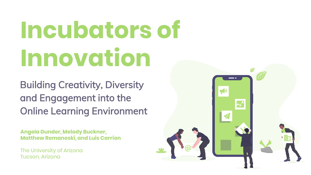# **Incubators of Innovation**

Building Creativity, Diversity and Engagement into the Online Learning Environment

**Angela Gunder, Melody Buckner, Matthew Romanoski, and Luis Carríon**

The University of Arizona Tucson, Arizona

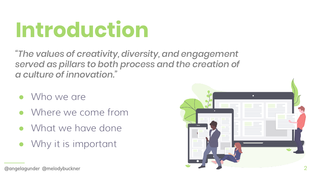## **Introduction**

*"The values of creativity, diversity, and engagement served as pillars to both process and the creation of a culture of innovation."*

- Who we are
- Where we come from
- What we have done
- Why it is important



<sup>@</sup>angelagunder @melodybuckner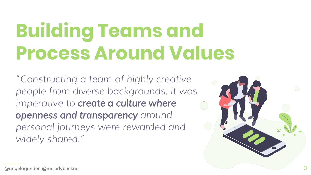### **Building Teams and Process Around Values**

*"Constructing a team of highly creative people from diverse backgrounds, it was imperative to create a culture where openness and transparency around personal journeys were rewarded and widely shared."*

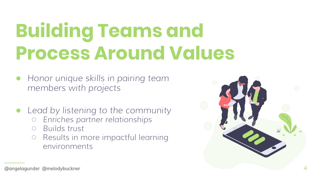### **Building Teams and Process Around Values**

- *Honor unique skills in pairing team members with projects*
- *Lead by listening to the community* 
	- *Enriches partner relationships*
	- *Builds trust*
	- Results in more impactful learning environments

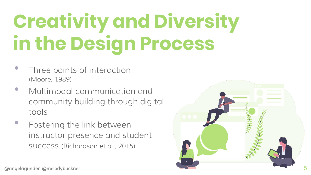#### **" Creativity and Diversity in the Design Process**

- Three points of interaction (Moore, 1989)
- Multimodal communication and community building through digital tools
- Fostering the link between instructor presence and student success (Richardson et al., 2015)



<sup>@</sup>angelagunder @melodybuckner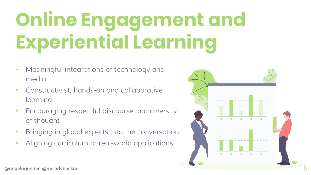# **Online Engagement and Experiential Learning**

- Meaningful integrations of technology and media
- Constructivist, hands-on and collaborative learning
- Encouraging respectful discourse and diversity of thought
- Bringing in global experts into the conversation
- Aligning curriculum to real-world applications



@angelagunder @melodybuckner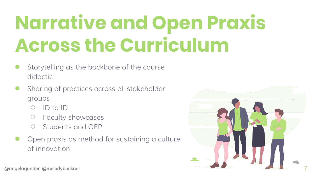### **Narrative and Open Praxis Across the Curriculum**

- Storytelling as the backbone of the course didactic
- Sharing of practices across all stakeholder groups
	- ID to ID
	- Faculty showcases
	- Students and OEP
- Open praxis as method for sustaining a culture of innovation



@angelagunder @melodybuckner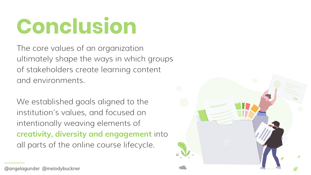## **Conclusion**

The core values of an organization ultimately shape the ways in which groups of stakeholders create learning content and environments.

We established goals aligned to the institution's values, and focused on intentionally weaving elements of **creativity, diversity and engagement** into all parts of the online course lifecycle.